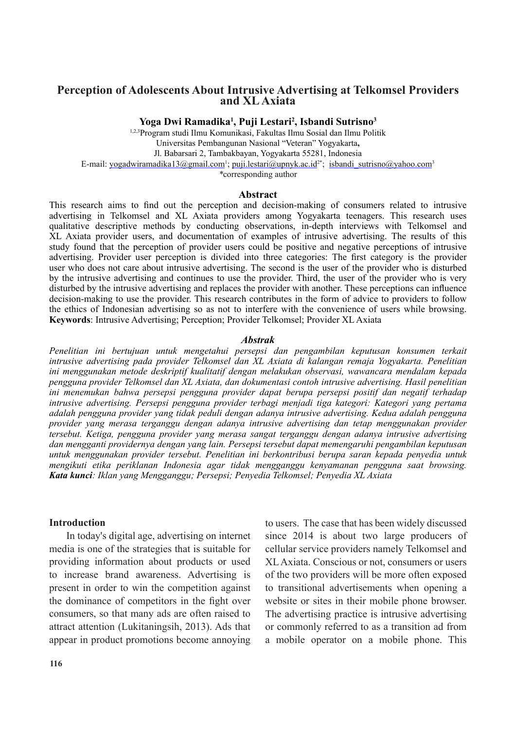# **Perception of Adolescents About Intrusive Advertising at Telkomsel Providers and XL Axiata**

**Yoga Dwi Ramadika1 , Puji Lestari2 , Isbandi Sutrisno3**

1,2,3Program studi Ilmu Komunikasi, Fakultas Ilmu Sosial dan Ilmu Politik Universitas Pembangunan Nasional "Veteran" Yogyakarta**,**  Jl. Babarsari 2, Tambakbayan, Yogyakarta 55281, Indonesia E-mail: yogadwiramadika13@gmail.com<sup>1</sup>; puji.lestari@upnyk.ac.id<sup>2\*</sup>; isbandi\_sutrisno@yahoo.com<sup>3</sup> *\**corresponding author

#### **Abstract**

This research aims to find out the perception and decision-making of consumers related to intrusive advertising in Telkomsel and XL Axiata providers among Yogyakarta teenagers. This research uses qualitative descriptive methods by conducting observations, in-depth interviews with Telkomsel and XL Axiata provider users, and documentation of examples of intrusive advertising. The results of this study found that the perception of provider users could be positive and negative perceptions of intrusive advertising. Provider user perception is divided into three categories: The first category is the provider user who does not care about intrusive advertising. The second is the user of the provider who is disturbed by the intrusive advertising and continues to use the provider. Third, the user of the provider who is very disturbed by the intrusive advertising and replaces the provider with another. These perceptions can influence decision-making to use the provider. This research contributes in the form of advice to providers to follow the ethics of Indonesian advertising so as not to interfere with the convenience of users while browsing. **Keywords**: Intrusive Advertising; Perception; Provider Telkomsel; Provider XL Axiata

#### *Abstrak*

*Penelitian ini bertujuan untuk mengetahui persepsi dan pengambilan keputusan konsumen terkait intrusive advertising pada provider Telkomsel dan XL Axiata di kalangan remaja Yogyakarta. Penelitian ini menggunakan metode deskriptif kualitatif dengan melakukan observasi, wawancara mendalam kepada pengguna provider Telkomsel dan XL Axiata, dan dokumentasi contoh intrusive advertising. Hasil penelitian ini menemukan bahwa persepsi pengguna provider dapat berupa persepsi positif dan negatif terhadap intrusive advertising. Persepsi pengguna provider terbagi menjadi tiga kategori: Kategori yang pertama adalah pengguna provider yang tidak peduli dengan adanya intrusive advertising. Kedua adalah pengguna provider yang merasa terganggu dengan adanya intrusive advertising dan tetap menggunakan provider tersebut. Ketiga, pengguna provider yang merasa sangat terganggu dengan adanya intrusive advertising dan mengganti providernya dengan yang lain. Persepsi tersebut dapat memengaruhi pengambilan keputusan untuk menggunakan provider tersebut. Penelitian ini berkontribusi berupa saran kepada penyedia untuk mengikuti etika periklanan Indonesia agar tidak mengganggu kenyamanan pengguna saat browsing. Kata kunci: Iklan yang Mengganggu; Persepsi; Penyedia Telkomsel; Penyedia XL Axiata*

#### **Introduction**

In today's digital age, advertising on internet media is one of the strategies that is suitable for providing information about products or used to increase brand awareness. Advertising is present in order to win the competition against the dominance of competitors in the fight over consumers, so that many ads are often raised to attract attention (Lukitaningsih, 2013). Ads that appear in product promotions become annoying to users. The case that has been widely discussed since 2014 is about two large producers of cellular service providers namely Telkomsel and XL Axiata. Conscious or not, consumers or users of the two providers will be more often exposed to transitional advertisements when opening a website or sites in their mobile phone browser. The advertising practice is intrusive advertising or commonly referred to as a transition ad from a mobile operator on a mobile phone. This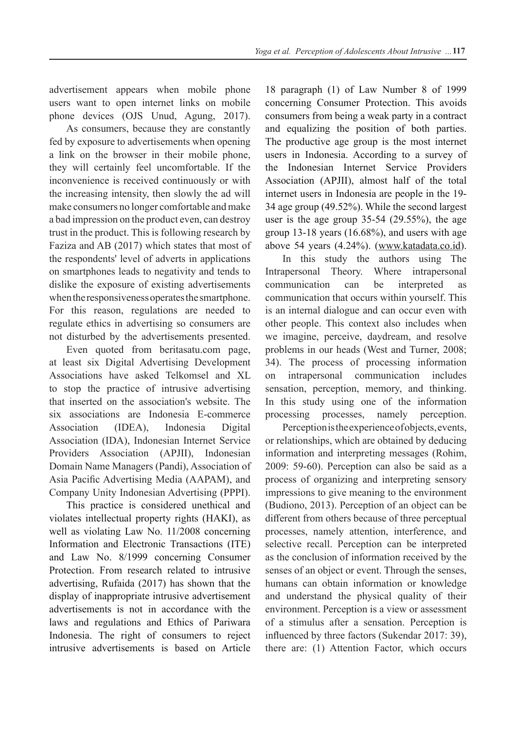advertisement appears when mobile phone users want to open internet links on mobile phone devices (OJS Unud, Agung, 2017).

As consumers, because they are constantly fed by exposure to advertisements when opening a link on the browser in their mobile phone, they will certainly feel uncomfortable. If the inconvenience is received continuously or with the increasing intensity, then slowly the ad will make consumers no longer comfortable and make a bad impression on the product even, can destroy trust in the product. This is following research by Faziza and AB (2017) which states that most of the respondents' level of adverts in applications on smartphones leads to negativity and tends to dislike the exposure of existing advertisements when the responsiveness operates the smartphone. For this reason, regulations are needed to regulate ethics in advertising so consumers are not disturbed by the advertisements presented.

Even quoted from beritasatu.com page, at least six Digital Advertising Development Associations have asked Telkomsel and XL to stop the practice of intrusive advertising that inserted on the association's website. The six associations are Indonesia E-commerce Association (IDEA), Indonesia Digital Association (IDA), Indonesian Internet Service Providers Association (APJII), Indonesian Domain Name Managers (Pandi), Association of Asia Pacific Advertising Media (AAPAM), and Company Unity Indonesian Advertising (PPPI).

This practice is considered unethical and violates intellectual property rights (HAKI), as well as violating Law No. 11/2008 concerning Information and Electronic Transactions (ITE) and Law No. 8/1999 concerning Consumer Protection. From research related to intrusive advertising, Rufaida (2017) has shown that the display of inappropriate intrusive advertisement advertisements is not in accordance with the laws and regulations and Ethics of Pariwara Indonesia. The right of consumers to reject intrusive advertisements is based on Article

18 paragraph (1) of Law Number 8 of 1999 concerning Consumer Protection. This avoids consumers from being a weak party in a contract and equalizing the position of both parties. The productive age group is the most internet users in Indonesia. According to a survey of the Indonesian Internet Service Providers Association (APJII), almost half of the total internet users in Indonesia are people in the 19- 34 age group (49.52%). While the second largest user is the age group 35-54 (29.55%), the age group 13-18 years (16.68%), and users with age above 54 years (4.24%). (www.katadata.co.id).

In this study the authors using The Intrapersonal Theory. Where intrapersonal communication can be interpreted as communication that occurs within yourself. This is an internal dialogue and can occur even with other people. This context also includes when we imagine, perceive, daydream, and resolve problems in our heads (West and Turner, 2008; 34). The process of processing information on intrapersonal communication includes sensation, perception, memory, and thinking. In this study using one of the information processing processes, namely perception.

Perception is the experience of objects, events, or relationships, which are obtained by deducing information and interpreting messages (Rohim, 2009: 59-60). Perception can also be said as a process of organizing and interpreting sensory impressions to give meaning to the environment (Budiono, 2013). Perception of an object can be different from others because of three perceptual processes, namely attention, interference, and selective recall. Perception can be interpreted as the conclusion of information received by the senses of an object or event. Through the senses, humans can obtain information or knowledge and understand the physical quality of their environment. Perception is a view or assessment of a stimulus after a sensation. Perception is influenced by three factors (Sukendar 2017: 39), there are: (1) Attention Factor, which occurs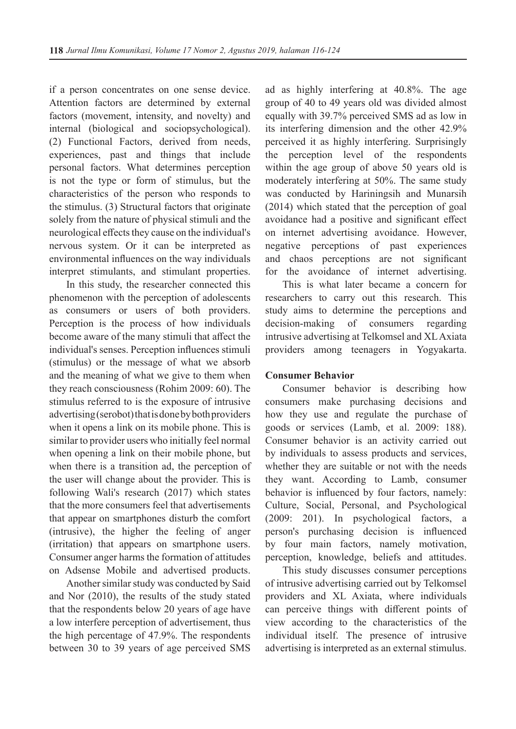if a person concentrates on one sense device. Attention factors are determined by external factors (movement, intensity, and novelty) and internal (biological and sociopsychological). (2) Functional Factors, derived from needs, experiences, past and things that include personal factors. What determines perception is not the type or form of stimulus, but the characteristics of the person who responds to the stimulus. (3) Structural factors that originate solely from the nature of physical stimuli and the neurological effects they cause on the individual's nervous system. Or it can be interpreted as environmental influences on the way individuals interpret stimulants, and stimulant properties.

In this study, the researcher connected this phenomenon with the perception of adolescents as consumers or users of both providers. Perception is the process of how individuals become aware of the many stimuli that affect the individual's senses. Perception influences stimuli (stimulus) or the message of what we absorb and the meaning of what we give to them when they reach consciousness (Rohim 2009: 60). The stimulus referred to is the exposure of intrusive advertising (serobot) that is done by both providers when it opens a link on its mobile phone. This is similar to provider users who initially feel normal when opening a link on their mobile phone, but when there is a transition ad, the perception of the user will change about the provider. This is following Wali's research (2017) which states that the more consumers feel that advertisements that appear on smartphones disturb the comfort (intrusive), the higher the feeling of anger (irritation) that appears on smartphone users. Consumer anger harms the formation of attitudes on Adsense Mobile and advertised products.

Another similar study was conducted by Said and Nor (2010), the results of the study stated that the respondents below 20 years of age have a low interfere perception of advertisement, thus the high percentage of 47.9%. The respondents between 30 to 39 years of age perceived SMS

ad as highly interfering at 40.8%. The age group of 40 to 49 years old was divided almost equally with 39.7% perceived SMS ad as low in its interfering dimension and the other 42.9% perceived it as highly interfering. Surprisingly the perception level of the respondents within the age group of above 50 years old is moderately interfering at 50%. The same study was conducted by Hariningsih and Munarsih (2014) which stated that the perception of goal avoidance had a positive and significant effect on internet advertising avoidance. However, negative perceptions of past experiences and chaos perceptions are not significant for the avoidance of internet advertising.

This is what later became a concern for researchers to carry out this research. This study aims to determine the perceptions and decision-making of consumers regarding intrusive advertising at Telkomsel and XL Axiata providers among teenagers in Yogyakarta.

#### **Consumer Behavior**

Consumer behavior is describing how consumers make purchasing decisions and how they use and regulate the purchase of goods or services (Lamb, et al. 2009: 188). Consumer behavior is an activity carried out by individuals to assess products and services, whether they are suitable or not with the needs they want. According to Lamb, consumer behavior is influenced by four factors, namely: Culture, Social, Personal, and Psychological (2009: 201). In psychological factors, a person's purchasing decision is influenced by four main factors, namely motivation, perception, knowledge, beliefs and attitudes.

This study discusses consumer perceptions of intrusive advertising carried out by Telkomsel providers and XL Axiata, where individuals can perceive things with different points of view according to the characteristics of the individual itself. The presence of intrusive advertising is interpreted as an external stimulus.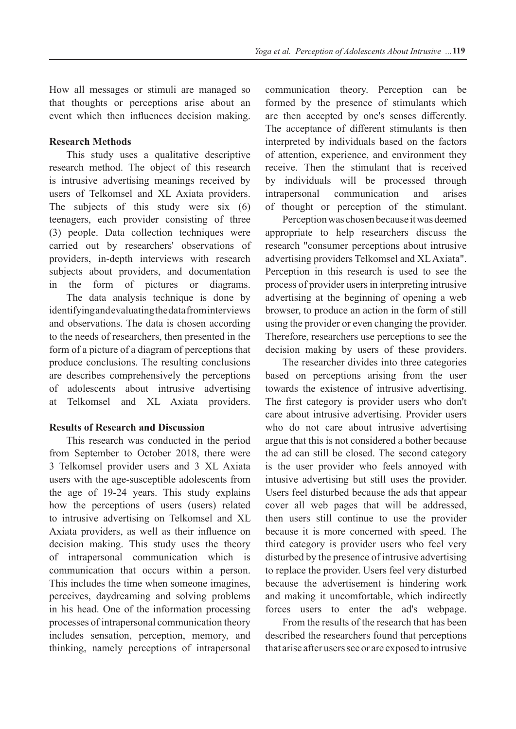How all messages or stimuli are managed so that thoughts or perceptions arise about an event which then influences decision making.

### **Research Methods**

This study uses a qualitative descriptive research method. The object of this research is intrusive advertising meanings received by users of Telkomsel and XL Axiata providers. The subjects of this study were six (6) teenagers, each provider consisting of three (3) people. Data collection techniques were carried out by researchers' observations of providers, in-depth interviews with research subjects about providers, and documentation in the form of pictures or diagrams.

The data analysis technique is done by identifying and evaluating the data from interviews and observations. The data is chosen according to the needs of researchers, then presented in the form of a picture of a diagram of perceptions that produce conclusions. The resulting conclusions are describes comprehensively the perceptions of adolescents about intrusive advertising at Telkomsel and XL Axiata providers.

## **Results of Research and Discussion**

This research was conducted in the period from September to October 2018, there were 3 Telkomsel provider users and 3 XL Axiata users with the age-susceptible adolescents from the age of 19-24 years. This study explains how the perceptions of users (users) related to intrusive advertising on Telkomsel and XL Axiata providers, as well as their influence on decision making. This study uses the theory of intrapersonal communication which is communication that occurs within a person. This includes the time when someone imagines, perceives, daydreaming and solving problems in his head. One of the information processing processes of intrapersonal communication theory includes sensation, perception, memory, and thinking, namely perceptions of intrapersonal

communication theory. Perception can be formed by the presence of stimulants which are then accepted by one's senses differently. The acceptance of different stimulants is then interpreted by individuals based on the factors of attention, experience, and environment they receive. Then the stimulant that is received by individuals will be processed through intrapersonal communication and arises of thought or perception of the stimulant.

Perception was chosen because it was deemed appropriate to help researchers discuss the research "consumer perceptions about intrusive advertising providers Telkomsel and XL Axiata". Perception in this research is used to see the process of provider users in interpreting intrusive advertising at the beginning of opening a web browser, to produce an action in the form of still using the provider or even changing the provider. Therefore, researchers use perceptions to see the decision making by users of these providers.

The researcher divides into three categories based on perceptions arising from the user towards the existence of intrusive advertising. The first category is provider users who don't care about intrusive advertising. Provider users who do not care about intrusive advertising argue that this is not considered a bother because the ad can still be closed. The second category is the user provider who feels annoyed with intusive advertising but still uses the provider. Users feel disturbed because the ads that appear cover all web pages that will be addressed, then users still continue to use the provider because it is more concerned with speed. The third category is provider users who feel very disturbed by the presence of intrusive advertising to replace the provider. Users feel very disturbed because the advertisement is hindering work and making it uncomfortable, which indirectly forces users to enter the ad's webpage.

From the results of the research that has been described the researchers found that perceptions that arise after users see or are exposed to intrusive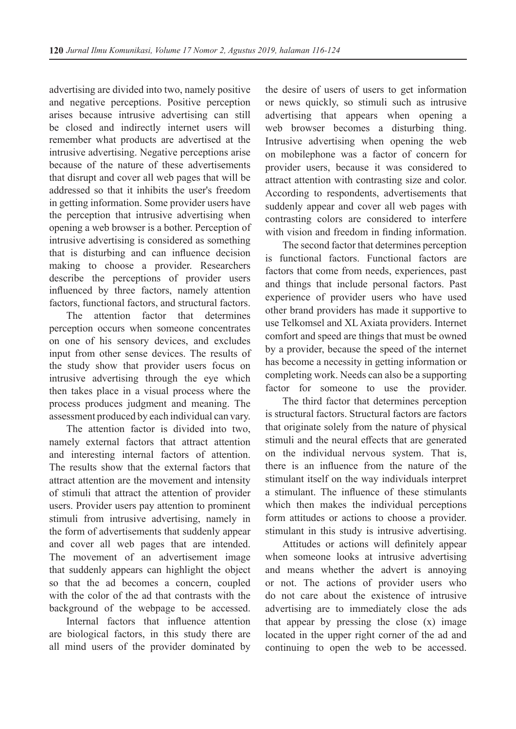advertising are divided into two, namely positive and negative perceptions. Positive perception arises because intrusive advertising can still be closed and indirectly internet users will remember what products are advertised at the intrusive advertising. Negative perceptions arise because of the nature of these advertisements that disrupt and cover all web pages that will be addressed so that it inhibits the user's freedom in getting information. Some provider users have the perception that intrusive advertising when opening a web browser is a bother. Perception of intrusive advertising is considered as something that is disturbing and can influence decision making to choose a provider. Researchers describe the perceptions of provider users influenced by three factors, namely attention factors, functional factors, and structural factors.

The attention factor that determines perception occurs when someone concentrates on one of his sensory devices, and excludes input from other sense devices. The results of the study show that provider users focus on intrusive advertising through the eye which then takes place in a visual process where the process produces judgment and meaning. The assessment produced by each individual can vary.

The attention factor is divided into two, namely external factors that attract attention and interesting internal factors of attention. The results show that the external factors that attract attention are the movement and intensity of stimuli that attract the attention of provider users. Provider users pay attention to prominent stimuli from intrusive advertising, namely in the form of advertisements that suddenly appear and cover all web pages that are intended. The movement of an advertisement image that suddenly appears can highlight the object so that the ad becomes a concern, coupled with the color of the ad that contrasts with the background of the webpage to be accessed.

Internal factors that influence attention are biological factors, in this study there are all mind users of the provider dominated by the desire of users of users to get information or news quickly, so stimuli such as intrusive advertising that appears when opening a web browser becomes a disturbing thing. Intrusive advertising when opening the web on mobilephone was a factor of concern for provider users, because it was considered to attract attention with contrasting size and color. According to respondents, advertisements that suddenly appear and cover all web pages with contrasting colors are considered to interfere with vision and freedom in finding information.

The second factor that determines perception is functional factors. Functional factors are factors that come from needs, experiences, past and things that include personal factors. Past experience of provider users who have used other brand providers has made it supportive to use Telkomsel and XL Axiata providers. Internet comfort and speed are things that must be owned by a provider, because the speed of the internet has become a necessity in getting information or completing work. Needs can also be a supporting factor for someone to use the provider.

The third factor that determines perception is structural factors. Structural factors are factors that originate solely from the nature of physical stimuli and the neural effects that are generated on the individual nervous system. That is, there is an influence from the nature of the stimulant itself on the way individuals interpret a stimulant. The influence of these stimulants which then makes the individual perceptions form attitudes or actions to choose a provider. stimulant in this study is intrusive advertising.

Attitudes or actions will definitely appear when someone looks at intrusive advertising and means whether the advert is annoying or not. The actions of provider users who do not care about the existence of intrusive advertising are to immediately close the ads that appear by pressing the close  $(x)$  image located in the upper right corner of the ad and continuing to open the web to be accessed.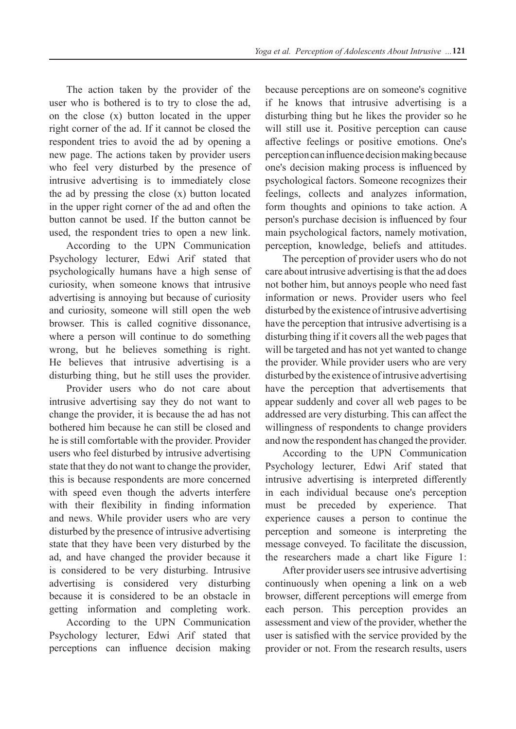The action taken by the provider of the user who is bothered is to try to close the ad, on the close (x) button located in the upper right corner of the ad. If it cannot be closed the respondent tries to avoid the ad by opening a new page. The actions taken by provider users who feel very disturbed by the presence of intrusive advertising is to immediately close the ad by pressing the close (x) button located in the upper right corner of the ad and often the button cannot be used. If the button cannot be used, the respondent tries to open a new link.

According to the UPN Communication Psychology lecturer, Edwi Arif stated that psychologically humans have a high sense of curiosity, when someone knows that intrusive advertising is annoying but because of curiosity and curiosity, someone will still open the web browser. This is called cognitive dissonance, where a person will continue to do something wrong, but he believes something is right. He believes that intrusive advertising is a disturbing thing, but he still uses the provider.

Provider users who do not care about intrusive advertising say they do not want to change the provider, it is because the ad has not bothered him because he can still be closed and he is still comfortable with the provider. Provider users who feel disturbed by intrusive advertising state that they do not want to change the provider, this is because respondents are more concerned with speed even though the adverts interfere with their flexibility in finding information and news. While provider users who are very disturbed by the presence of intrusive advertising state that they have been very disturbed by the ad, and have changed the provider because it is considered to be very disturbing. Intrusive advertising is considered very disturbing because it is considered to be an obstacle in getting information and completing work. According to the UPN Communication Psychology lecturer, Edwi Arif stated that perceptions can influence decision making

because perceptions are on someone's cognitive if he knows that intrusive advertising is a disturbing thing but he likes the provider so he will still use it. Positive perception can cause affective feelings or positive emotions. One's perception can influence decision making because one's decision making process is influenced by psychological factors. Someone recognizes their feelings, collects and analyzes information, form thoughts and opinions to take action. A person's purchase decision is influenced by four main psychological factors, namely motivation, perception, knowledge, beliefs and attitudes.

The perception of provider users who do not care about intrusive advertising is that the ad does not bother him, but annoys people who need fast information or news. Provider users who feel disturbed by the existence of intrusive advertising have the perception that intrusive advertising is a disturbing thing if it covers all the web pages that will be targeted and has not yet wanted to change the provider. While provider users who are very disturbed by the existence of intrusive advertising have the perception that advertisements that appear suddenly and cover all web pages to be addressed are very disturbing. This can affect the willingness of respondents to change providers and now the respondent has changed the provider.

According to the UPN Communication Psychology lecturer, Edwi Arif stated that intrusive advertising is interpreted differently in each individual because one's perception must be preceded by experience. That experience causes a person to continue the perception and someone is interpreting the message conveyed. To facilitate the discussion, the researchers made a chart like Figure 1:

After provider users see intrusive advertising continuously when opening a link on a web browser, different perceptions will emerge from each person. This perception provides an assessment and view of the provider, whether the user is satisfied with the service provided by the provider or not. From the research results, users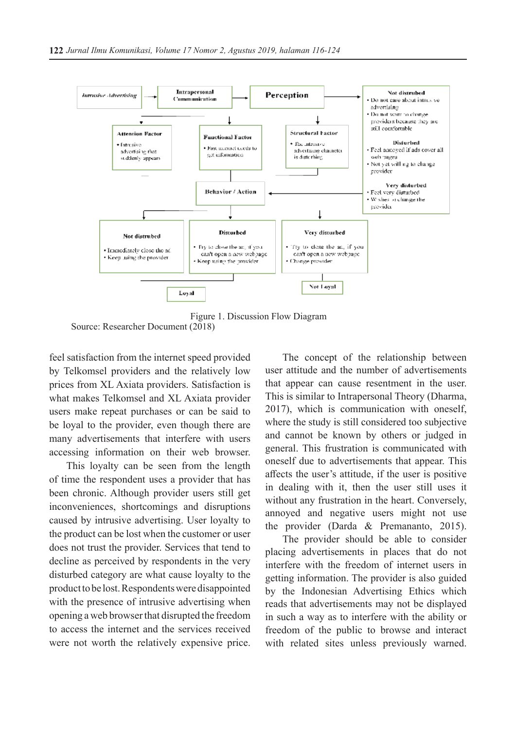

Figure 1. Discussion Flow Diagram Source: Researcher Document (2018)

feel satisfaction from the internet speed provided by Telkomsel providers and the relatively low prices from XL Axiata providers. Satisfaction is what makes Telkomsel and XL Axiata provider users make repeat purchases or can be said to be loyal to the provider, even though there are many advertisements that interfere with users accessing information on their web browser.

This loyalty can be seen from the length of time the respondent uses a provider that has been chronic. Although provider users still get inconveniences, shortcomings and disruptions caused by intrusive advertising. User loyalty to the product can be lost when the customer or user does not trust the provider. Services that tend to decline as perceived by respondents in the very disturbed category are what cause loyalty to the product to be lost. Respondents were disappointed with the presence of intrusive advertising when opening a web browser that disrupted the freedom to access the internet and the services received were not worth the relatively expensive price.

The concept of the relationship between user attitude and the number of advertisements that appear can cause resentment in the user. This is similar to Intrapersonal Theory (Dharma, 2017), which is communication with oneself, where the study is still considered too subjective and cannot be known by others or judged in general. This frustration is communicated with oneself due to advertisements that appear. This affects the user's attitude, if the user is positive in dealing with it, then the user still uses it without any frustration in the heart. Conversely, annoyed and negative users might not use the provider (Darda & Premananto, 2015).

The provider should be able to consider placing advertisements in places that do not interfere with the freedom of internet users in getting information. The provider is also guided by the Indonesian Advertising Ethics which reads that advertisements may not be displayed in such a way as to interfere with the ability or freedom of the public to browse and interact with related sites unless previously warned.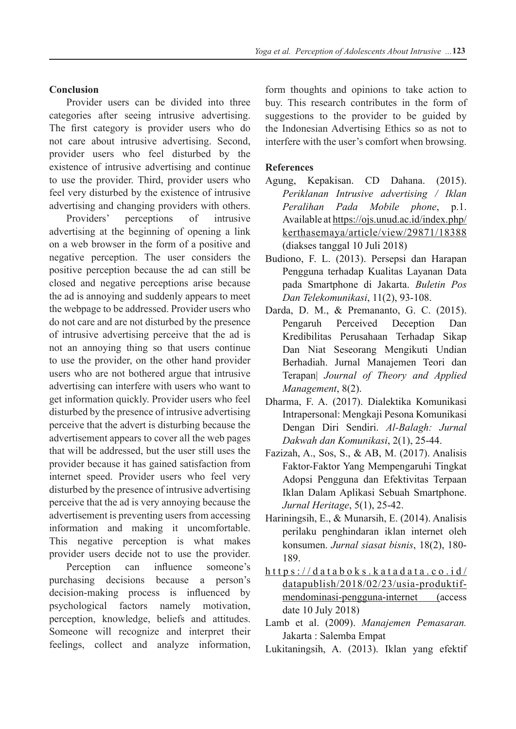## **Conclusion**

Provider users can be divided into three categories after seeing intrusive advertising. The first category is provider users who do not care about intrusive advertising. Second, provider users who feel disturbed by the existence of intrusive advertising and continue to use the provider. Third, provider users who feel very disturbed by the existence of intrusive advertising and changing providers with others.

Providers' perceptions of intrusive advertising at the beginning of opening a link on a web browser in the form of a positive and negative perception. The user considers the positive perception because the ad can still be closed and negative perceptions arise because the ad is annoying and suddenly appears to meet the webpage to be addressed. Provider users who do not care and are not disturbed by the presence of intrusive advertising perceive that the ad is not an annoying thing so that users continue to use the provider, on the other hand provider users who are not bothered argue that intrusive advertising can interfere with users who want to get information quickly. Provider users who feel disturbed by the presence of intrusive advertising perceive that the advert is disturbing because the advertisement appears to cover all the web pages that will be addressed, but the user still uses the provider because it has gained satisfaction from internet speed. Provider users who feel very disturbed by the presence of intrusive advertising perceive that the ad is very annoying because the advertisement is preventing users from accessing information and making it uncomfortable. This negative perception is what makes provider users decide not to use the provider.

Perception can influence someone's purchasing decisions because a person's decision-making process is influenced by psychological factors namely motivation, perception, knowledge, beliefs and attitudes. Someone will recognize and interpret their feelings, collect and analyze information,

form thoughts and opinions to take action to buy. This research contributes in the form of suggestions to the provider to be guided by the Indonesian Advertising Ethics so as not to interfere with the user's comfort when browsing.

## **References**

- Agung, Kepakisan. CD Dahana. (2015). *Periklanan Intrusive advertising / Iklan Peralihan Pada Mobile phone*, p.1. Available at https://ojs.unud.ac.id/index.php/ kerthasemaya/article/view/29871/18388 (diakses tanggal 10 Juli 2018)
- Budiono, F. L. (2013). Persepsi dan Harapan Pengguna terhadap Kualitas Layanan Data pada Smartphone di Jakarta. *Buletin Pos Dan Telekomunikasi*, 11(2), 93-108.
- Darda, D. M., & Premananto, G. C. (2015). Pengaruh Perceived Deception Dan Kredibilitas Perusahaan Terhadap Sikap Dan Niat Seseorang Mengikuti Undian Berhadiah. Jurnal Manajemen Teori dan Terapan| *Journal of Theory and Applied Management*, 8(2).
- Dharma, F. A. (2017). Dialektika Komunikasi Intrapersonal: Mengkaji Pesona Komunikasi Dengan Diri Sendiri. *Al-Balagh: Jurnal Dakwah dan Komunikasi*, 2(1), 25-44.
- Fazizah, A., Sos, S., & AB, M. (2017). Analisis Faktor-Faktor Yang Mempengaruhi Tingkat Adopsi Pengguna dan Efektivitas Terpaan Iklan Dalam Aplikasi Sebuah Smartphone. *Jurnal Heritage*, 5(1), 25-42.
- Hariningsih, E., & Munarsih, E. (2014). Analisis perilaku penghindaran iklan internet oleh konsumen. *Jurnal siasat bisnis*, 18(2), 180- 189.
- https://databoks.katadata.co.id/ datapublish/2018/02/23/usia-produktifmendominasi-pengguna-internet (access date 10 July 2018)
- Lamb et al. (2009). *Manajemen Pemasaran.*  Jakarta : Salemba Empat
- Lukitaningsih, A. (2013). Iklan yang efektif